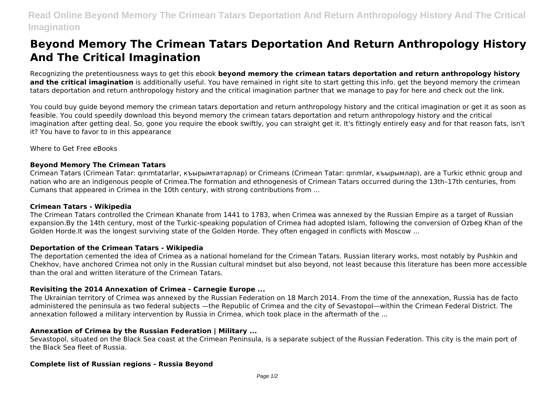# **Read Online Beyond Memory The Crimean Tatars Deportation And Return Anthropology History And The Critical Imagination**

# **Beyond Memory The Crimean Tatars Deportation And Return Anthropology History And The Critical Imagination**

Recognizing the pretentiousness ways to get this ebook **beyond memory the crimean tatars deportation and return anthropology history** and the critical imagination is additionally useful. You have remained in right site to start getting this info. get the beyond memory the crimean tatars deportation and return anthropology history and the critical imagination partner that we manage to pay for here and check out the link.

You could buy guide beyond memory the crimean tatars deportation and return anthropology history and the critical imagination or get it as soon as feasible. You could speedily download this beyond memory the crimean tatars deportation and return anthropology history and the critical imagination after getting deal. So, gone you require the ebook swiftly, you can straight get it. It's fittingly entirely easy and for that reason fats, isn't it? You have to favor to in this appearance

Where to Get Free eBooks

#### **Beyond Memory The Crimean Tatars**

Crimean Tatars (Crimean Tatar: qırımtatarlar, къырымтатарлар) or Crimeans (Crimean Tatar: qırımlar, къырымлар), are a Turkic ethnic group and nation who are an indigenous people of Crimea.The formation and ethnogenesis of Crimean Tatars occurred during the 13th–17th centuries, from Cumans that appeared in Crimea in the 10th century, with strong contributions from ...

#### **Crimean Tatars - Wikipedia**

The Crimean Tatars controlled the Crimean Khanate from 1441 to 1783, when Crimea was annexed by the Russian Empire as a target of Russian expansion.By the 14th century, most of the Turkic-speaking population of Crimea had adopted Islam, following the conversion of Ozbeg Khan of the Golden Horde.It was the longest surviving state of the Golden Horde. They often engaged in conflicts with Moscow ...

## **Deportation of the Crimean Tatars - Wikipedia**

The deportation cemented the idea of Crimea as a national homeland for the Crimean Tatars. Russian literary works, most notably by Pushkin and Chekhov, have anchored Crimea not only in the Russian cultural mindset but also beyond, not least because this literature has been more accessible than the oral and written literature of the Crimean Tatars.

## **Revisiting the 2014 Annexation of Crimea - Carnegie Europe ...**

The Ukrainian territory of Crimea was annexed by the Russian Federation on 18 March 2014. From the time of the annexation, Russia has de facto administered the peninsula as two federal subjects —the Republic of Crimea and the city of Sevastopol—within the Crimean Federal District. The annexation followed a military intervention by Russia in Crimea, which took place in the aftermath of the ...

## **Annexation of Crimea by the Russian Federation | Military ...**

Sevastopol, situated on the Black Sea coast at the Crimean Peninsula, is a separate subject of the Russian Federation. This city is the main port of the Black Sea fleet of Russia.

## **Complete list of Russian regions - Russia Beyond**